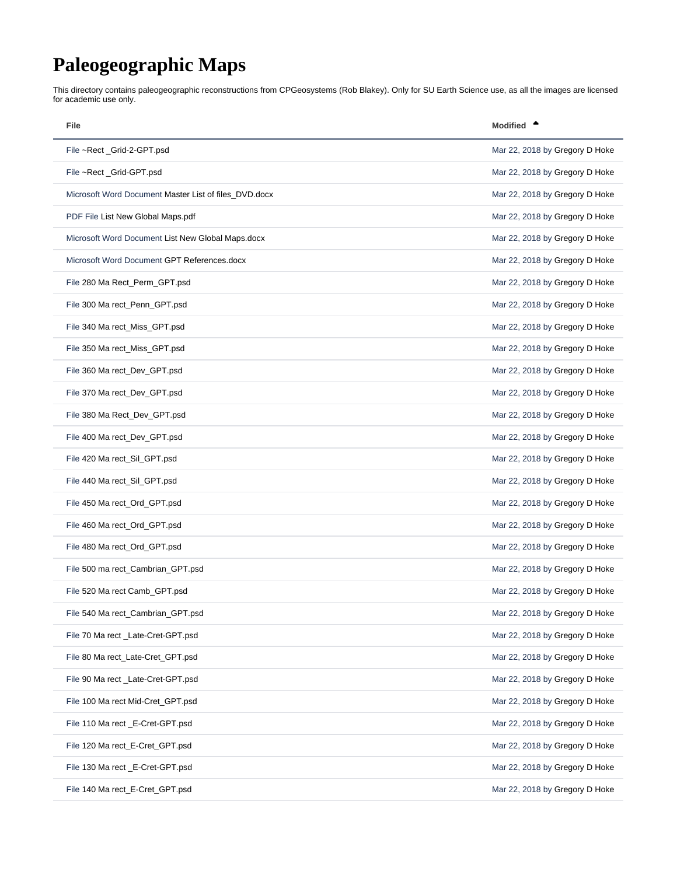## <span id="page-0-0"></span>**Paleogeographic Maps**

This directory contains paleogeographic reconstructions from CPGeosystems (Rob Blakey). Only for SU Earth Science use, as all the images are licensed for academic use only.

| File                                                  | <b>Modified</b>                |
|-------------------------------------------------------|--------------------------------|
| File ~Rect _Grid-2-GPT.psd                            | Mar 22, 2018 by Gregory D Hoke |
| File ~Rect _Grid-GPT.psd                              | Mar 22, 2018 by Gregory D Hoke |
| Microsoft Word Document Master List of files_DVD.docx | Mar 22, 2018 by Gregory D Hoke |
| PDF File List New Global Maps.pdf                     | Mar 22, 2018 by Gregory D Hoke |
| Microsoft Word Document List New Global Maps.docx     | Mar 22, 2018 by Gregory D Hoke |
| Microsoft Word Document GPT References.docx           | Mar 22, 2018 by Gregory D Hoke |
| File 280 Ma Rect_Perm_GPT.psd                         | Mar 22, 2018 by Gregory D Hoke |
| File 300 Ma rect_Penn_GPT.psd                         | Mar 22, 2018 by Gregory D Hoke |
| File 340 Ma rect_Miss_GPT.psd                         | Mar 22, 2018 by Gregory D Hoke |
| File 350 Ma rect_Miss_GPT.psd                         | Mar 22, 2018 by Gregory D Hoke |
| File 360 Ma rect_Dev_GPT.psd                          | Mar 22, 2018 by Gregory D Hoke |
| File 370 Ma rect_Dev_GPT.psd                          | Mar 22, 2018 by Gregory D Hoke |
| File 380 Ma Rect_Dev_GPT.psd                          | Mar 22, 2018 by Gregory D Hoke |
| File 400 Ma rect_Dev_GPT.psd                          | Mar 22, 2018 by Gregory D Hoke |
| File 420 Ma rect_Sil_GPT.psd                          | Mar 22, 2018 by Gregory D Hoke |
| File 440 Ma rect_Sil_GPT.psd                          | Mar 22, 2018 by Gregory D Hoke |
| File 450 Ma rect_Ord_GPT.psd                          | Mar 22, 2018 by Gregory D Hoke |
| File 460 Ma rect_Ord_GPT.psd                          | Mar 22, 2018 by Gregory D Hoke |
| File 480 Ma rect_Ord_GPT.psd                          | Mar 22, 2018 by Gregory D Hoke |
| File 500 ma rect_Cambrian_GPT.psd                     | Mar 22, 2018 by Gregory D Hoke |
| File 520 Ma rect Camb_GPT.psd                         | Mar 22, 2018 by Gregory D Hoke |
| File 540 Ma rect_Cambrian_GPT.psd                     | Mar 22, 2018 by Gregory D Hoke |
| File 70 Ma rect _Late-Cret-GPT.psd                    | Mar 22, 2018 by Gregory D Hoke |
| File 80 Ma rect_Late-Cret_GPT.psd                     | Mar 22, 2018 by Gregory D Hoke |
| File 90 Ma rect _Late-Cret-GPT.psd                    | Mar 22, 2018 by Gregory D Hoke |
| File 100 Ma rect Mid-Cret_GPT.psd                     | Mar 22, 2018 by Gregory D Hoke |
| File 110 Ma rect _E-Cret-GPT.psd                      | Mar 22, 2018 by Gregory D Hoke |
| File 120 Ma rect_E-Cret_GPT.psd                       | Mar 22, 2018 by Gregory D Hoke |
| File 130 Ma rect _E-Cret-GPT.psd                      | Mar 22, 2018 by Gregory D Hoke |
| File 140 Ma rect_E-Cret_GPT.psd                       | Mar 22, 2018 by Gregory D Hoke |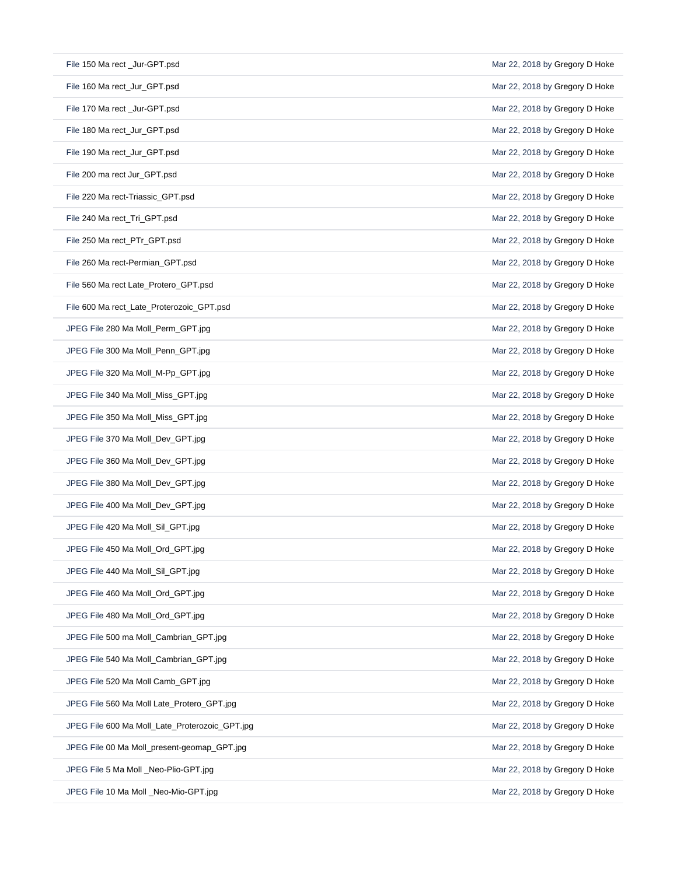| File 150 Ma rect _Jur-GPT.psd                  | Mar 22, 2018 by Gregory D Hoke |
|------------------------------------------------|--------------------------------|
| File 160 Ma rect_Jur_GPT.psd                   | Mar 22, 2018 by Gregory D Hoke |
| File 170 Ma rect _Jur-GPT.psd                  | Mar 22, 2018 by Gregory D Hoke |
| File 180 Ma rect_Jur_GPT.psd                   | Mar 22, 2018 by Gregory D Hoke |
| File 190 Ma rect_Jur_GPT.psd                   | Mar 22, 2018 by Gregory D Hoke |
| File 200 ma rect Jur_GPT.psd                   | Mar 22, 2018 by Gregory D Hoke |
| File 220 Ma rect-Triassic GPT.psd              | Mar 22, 2018 by Gregory D Hoke |
| File 240 Ma rect_Tri_GPT.psd                   | Mar 22, 2018 by Gregory D Hoke |
| File 250 Ma rect_PTr_GPT.psd                   | Mar 22, 2018 by Gregory D Hoke |
| File 260 Ma rect-Permian_GPT.psd               | Mar 22, 2018 by Gregory D Hoke |
| File 560 Ma rect Late_Protero_GPT.psd          | Mar 22, 2018 by Gregory D Hoke |
| File 600 Ma rect_Late_Proterozoic_GPT.psd      | Mar 22, 2018 by Gregory D Hoke |
| JPEG File 280 Ma Moll_Perm_GPT.jpg             | Mar 22, 2018 by Gregory D Hoke |
| JPEG File 300 Ma Moll_Penn_GPT.jpg             | Mar 22, 2018 by Gregory D Hoke |
| JPEG File 320 Ma Moll_M-Pp_GPT.jpg             | Mar 22, 2018 by Gregory D Hoke |
| JPEG File 340 Ma Moll_Miss_GPT.jpg             | Mar 22, 2018 by Gregory D Hoke |
| JPEG File 350 Ma Moll_Miss_GPT.jpg             | Mar 22, 2018 by Gregory D Hoke |
| JPEG File 370 Ma Moll_Dev_GPT.jpg              | Mar 22, 2018 by Gregory D Hoke |
| JPEG File 360 Ma Moll_Dev_GPT.jpg              | Mar 22, 2018 by Gregory D Hoke |
| JPEG File 380 Ma Moll_Dev_GPT.jpg              | Mar 22, 2018 by Gregory D Hoke |
| JPEG File 400 Ma Moll_Dev_GPT.jpg              | Mar 22, 2018 by Gregory D Hoke |
| JPEG File 420 Ma Moll_Sil_GPT.jpg              | Mar 22, 2018 by Gregory D Hoke |
| JPEG File 450 Ma Moll_Ord_GPT.jpg              | Mar 22, 2018 by Gregory D Hoke |
| JPEG File 440 Ma Moll_Sil_GPT.jpg              | Mar 22, 2018 by Gregory D Hoke |
| JPEG File 460 Ma Moll_Ord_GPT.jpg              | Mar 22, 2018 by Gregory D Hoke |
| JPEG File 480 Ma Moll_Ord_GPT.jpg              | Mar 22, 2018 by Gregory D Hoke |
| JPEG File 500 ma Moll_Cambrian_GPT.jpg         | Mar 22, 2018 by Gregory D Hoke |
| JPEG File 540 Ma Moll_Cambrian_GPT.jpg         | Mar 22, 2018 by Gregory D Hoke |
| JPEG File 520 Ma Moll Camb_GPT.jpg             | Mar 22, 2018 by Gregory D Hoke |
| JPEG File 560 Ma Moll Late_Protero_GPT.jpg     | Mar 22, 2018 by Gregory D Hoke |
| JPEG File 600 Ma Moll_Late_Proterozoic_GPT.jpg | Mar 22, 2018 by Gregory D Hoke |
| JPEG File 00 Ma Moll_present-geomap_GPT.jpg    | Mar 22, 2018 by Gregory D Hoke |
| JPEG File 5 Ma Moll _Neo-Plio-GPT.jpg          | Mar 22, 2018 by Gregory D Hoke |
|                                                |                                |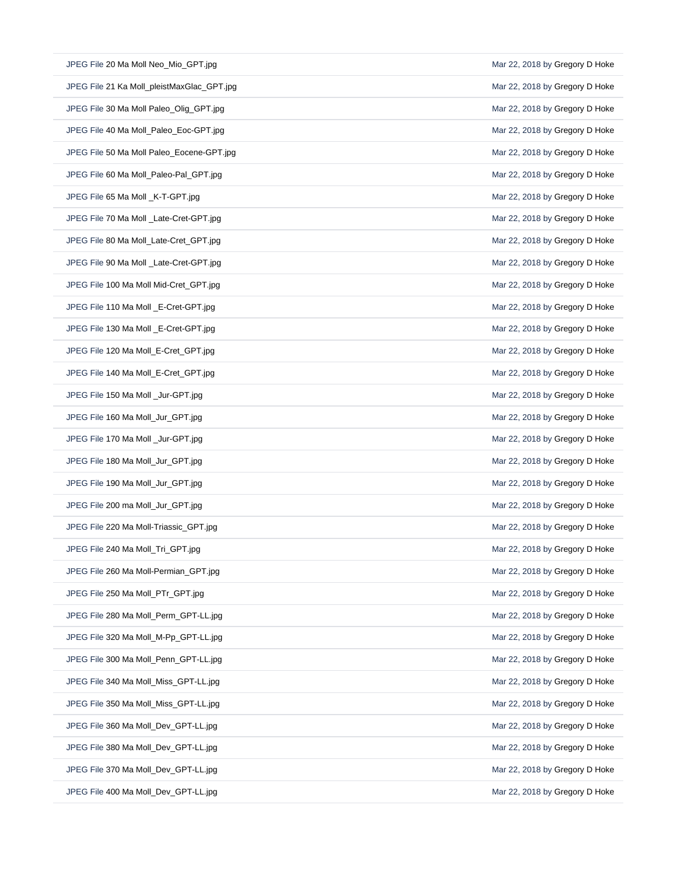| JPEG File 20 Ma Moll Neo_Mio_GPT.jpg       | Mar 22, 2018 by Gregory D Hoke |
|--------------------------------------------|--------------------------------|
| JPEG File 21 Ka Moll_pleistMaxGlac_GPT.jpg | Mar 22, 2018 by Gregory D Hoke |
| JPEG File 30 Ma Moll Paleo_Olig_GPT.jpg    | Mar 22, 2018 by Gregory D Hoke |
| JPEG File 40 Ma Moll_Paleo_Eoc-GPT.jpg     | Mar 22, 2018 by Gregory D Hoke |
| JPEG File 50 Ma Moll Paleo_Eocene-GPT.jpg  | Mar 22, 2018 by Gregory D Hoke |
| JPEG File 60 Ma Moll_Paleo-Pal_GPT.jpg     | Mar 22, 2018 by Gregory D Hoke |
| JPEG File 65 Ma Moll _K-T-GPT.jpg          | Mar 22, 2018 by Gregory D Hoke |
| JPEG File 70 Ma Moll _Late-Cret-GPT.jpg    | Mar 22, 2018 by Gregory D Hoke |
| JPEG File 80 Ma Moll_Late-Cret_GPT.jpg     | Mar 22, 2018 by Gregory D Hoke |
| JPEG File 90 Ma Moll _Late-Cret-GPT.jpg    | Mar 22, 2018 by Gregory D Hoke |
| JPEG File 100 Ma Moll Mid-Cret GPT.jpg     | Mar 22, 2018 by Gregory D Hoke |
| JPEG File 110 Ma Moll _E-Cret-GPT.jpg      | Mar 22, 2018 by Gregory D Hoke |
| JPEG File 130 Ma Moll _E-Cret-GPT.jpg      | Mar 22, 2018 by Gregory D Hoke |
| JPEG File 120 Ma Moll_E-Cret_GPT.jpg       | Mar 22, 2018 by Gregory D Hoke |
| JPEG File 140 Ma Moll_E-Cret_GPT.jpg       | Mar 22, 2018 by Gregory D Hoke |
| JPEG File 150 Ma Moll _Jur-GPT.jpg         | Mar 22, 2018 by Gregory D Hoke |
| JPEG File 160 Ma Moll_Jur_GPT.jpg          | Mar 22, 2018 by Gregory D Hoke |
| JPEG File 170 Ma Moll _Jur-GPT.jpg         | Mar 22, 2018 by Gregory D Hoke |
| JPEG File 180 Ma Moll_Jur_GPT.jpg          | Mar 22, 2018 by Gregory D Hoke |
| JPEG File 190 Ma Moll_Jur_GPT.jpg          | Mar 22, 2018 by Gregory D Hoke |
| JPEG File 200 ma Moll_Jur_GPT.jpg          | Mar 22, 2018 by Gregory D Hoke |
| JPEG File 220 Ma Moll-Triassic_GPT.jpg     | Mar 22, 2018 by Gregory D Hoke |
| JPEG File 240 Ma Moll_Tri_GPT.jpg          | Mar 22, 2018 by Gregory D Hoke |
| JPEG File 260 Ma Moll-Permian_GPT.jpg      | Mar 22, 2018 by Gregory D Hoke |
| JPEG File 250 Ma Moll_PTr_GPT.jpg          | Mar 22, 2018 by Gregory D Hoke |
| JPEG File 280 Ma Moll_Perm_GPT-LL.jpg      | Mar 22, 2018 by Gregory D Hoke |
| JPEG File 320 Ma Moll M-Pp GPT-LL.jpg      | Mar 22, 2018 by Gregory D Hoke |
| JPEG File 300 Ma Moll_Penn_GPT-LL.jpg      | Mar 22, 2018 by Gregory D Hoke |
| JPEG File 340 Ma Moll_Miss_GPT-LL.jpg      | Mar 22, 2018 by Gregory D Hoke |
| JPEG File 350 Ma Moll_Miss_GPT-LL.jpg      | Mar 22, 2018 by Gregory D Hoke |
| JPEG File 360 Ma Moll_Dev_GPT-LL.jpg       | Mar 22, 2018 by Gregory D Hoke |
| JPEG File 380 Ma Moll_Dev_GPT-LL.jpg       | Mar 22, 2018 by Gregory D Hoke |
| JPEG File 370 Ma Moll_Dev_GPT-LL.jpg       | Mar 22, 2018 by Gregory D Hoke |
| JPEG File 400 Ma Moll_Dev_GPT-LL.jpg       | Mar 22, 2018 by Gregory D Hoke |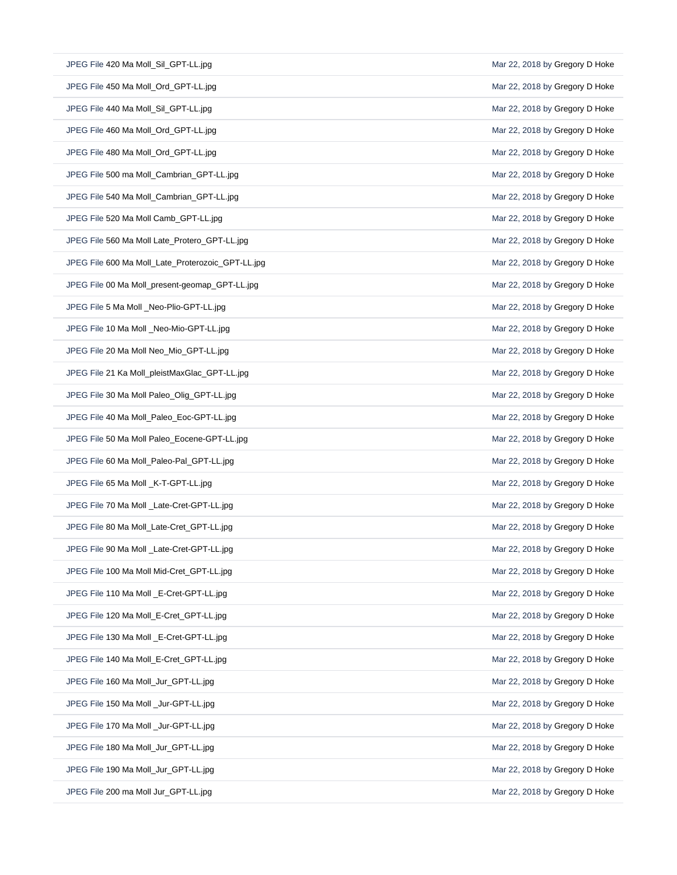| JPEG File 420 Ma Moll Sil GPT-LL.jpg              | Mar 22, 2018 by Gregory D Hoke |
|---------------------------------------------------|--------------------------------|
| JPEG File 450 Ma Moll Ord GPT-LL.jpg              | Mar 22, 2018 by Gregory D Hoke |
| JPEG File 440 Ma Moll_Sil_GPT-LL.jpg              | Mar 22, 2018 by Gregory D Hoke |
| JPEG File 460 Ma Moll_Ord_GPT-LL.jpg              | Mar 22, 2018 by Gregory D Hoke |
| JPEG File 480 Ma Moll_Ord_GPT-LL.jpg              | Mar 22, 2018 by Gregory D Hoke |
| JPEG File 500 ma Moll_Cambrian_GPT-LL.jpg         | Mar 22, 2018 by Gregory D Hoke |
| JPEG File 540 Ma Moll_Cambrian_GPT-LL.jpg         | Mar 22, 2018 by Gregory D Hoke |
| JPEG File 520 Ma Moll Camb_GPT-LL.jpg             | Mar 22, 2018 by Gregory D Hoke |
| JPEG File 560 Ma Moll Late_Protero_GPT-LL.jpg     | Mar 22, 2018 by Gregory D Hoke |
| JPEG File 600 Ma Moll_Late_Proterozoic_GPT-LL.jpg | Mar 22, 2018 by Gregory D Hoke |
| JPEG File 00 Ma Moll_present-geomap_GPT-LL.jpg    | Mar 22, 2018 by Gregory D Hoke |
| JPEG File 5 Ma Moll _Neo-Plio-GPT-LL.jpg          | Mar 22, 2018 by Gregory D Hoke |
| JPEG File 10 Ma Moll _Neo-Mio-GPT-LL.jpg          | Mar 22, 2018 by Gregory D Hoke |
| JPEG File 20 Ma Moll Neo_Mio_GPT-LL.jpg           | Mar 22, 2018 by Gregory D Hoke |
| JPEG File 21 Ka Moll_pleistMaxGlac_GPT-LL.jpg     | Mar 22, 2018 by Gregory D Hoke |
| JPEG File 30 Ma Moll Paleo_Olig_GPT-LL.jpg        | Mar 22, 2018 by Gregory D Hoke |
| JPEG File 40 Ma Moll_Paleo_Eoc-GPT-LL.jpg         | Mar 22, 2018 by Gregory D Hoke |
| JPEG File 50 Ma Moll Paleo_Eocene-GPT-LL.jpg      | Mar 22, 2018 by Gregory D Hoke |
| JPEG File 60 Ma Moll_Paleo-Pal_GPT-LL.jpg         | Mar 22, 2018 by Gregory D Hoke |
| JPEG File 65 Ma Moll _K-T-GPT-LL.jpg              | Mar 22, 2018 by Gregory D Hoke |
| JPEG File 70 Ma Moll _Late-Cret-GPT-LL.jpg        | Mar 22, 2018 by Gregory D Hoke |
| JPEG File 80 Ma Moll_Late-Cret_GPT-LL.jpg         | Mar 22, 2018 by Gregory D Hoke |
| JPEG File 90 Ma Moll _Late-Cret-GPT-LL.jpg        | Mar 22, 2018 by Gregory D Hoke |
| JPEG File 100 Ma Moll Mid-Cret_GPT-LL.jpg         | Mar 22, 2018 by Gregory D Hoke |
| JPEG File 110 Ma Moll _E-Cret-GPT-LL.jpg          | Mar 22, 2018 by Gregory D Hoke |
| JPEG File 120 Ma Moll_E-Cret_GPT-LL.jpg           | Mar 22, 2018 by Gregory D Hoke |
| JPEG File 130 Ma Moll _E-Cret-GPT-LL.jpg          | Mar 22, 2018 by Gregory D Hoke |
| JPEG File 140 Ma Moll_E-Cret_GPT-LL.jpg           | Mar 22, 2018 by Gregory D Hoke |
| JPEG File 160 Ma Moll_Jur_GPT-LL.jpg              | Mar 22, 2018 by Gregory D Hoke |
| JPEG File 150 Ma Moll _Jur-GPT-LL.jpg             | Mar 22, 2018 by Gregory D Hoke |
| JPEG File 170 Ma Moll _Jur-GPT-LL.jpg             | Mar 22, 2018 by Gregory D Hoke |
| JPEG File 180 Ma Moll_Jur_GPT-LL.jpg              | Mar 22, 2018 by Gregory D Hoke |
| JPEG File 190 Ma Moll_Jur_GPT-LL.jpg              | Mar 22, 2018 by Gregory D Hoke |
| JPEG File 200 ma Moll Jur_GPT-LL.jpg              | Mar 22, 2018 by Gregory D Hoke |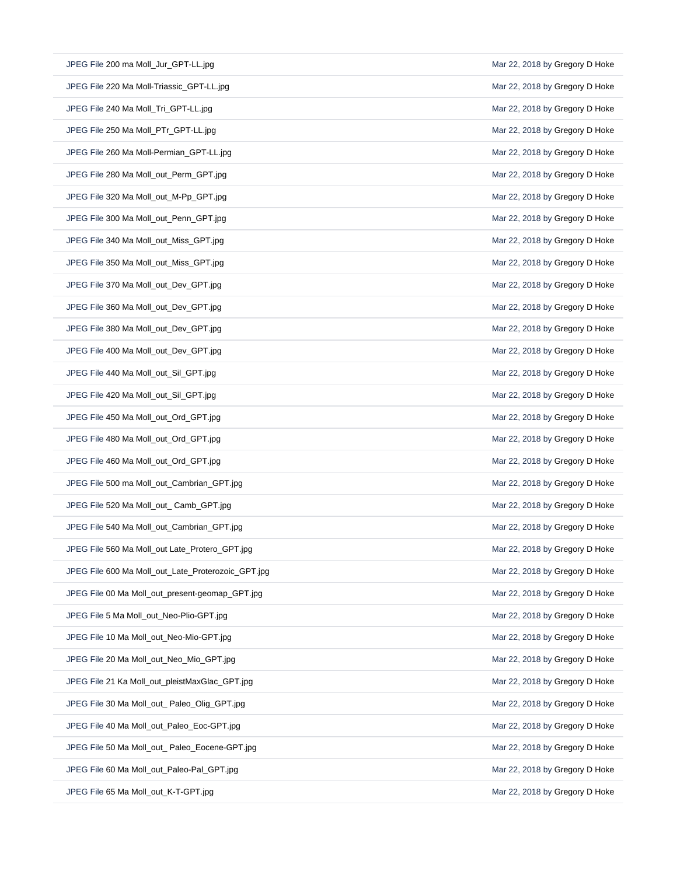| JPEG File 200 ma Moll Jur GPT-LL.jpg               | Mar 22, 2018 by Gregory D Hoke |
|----------------------------------------------------|--------------------------------|
| JPEG File 220 Ma Moll-Triassic GPT-LL.jpg          | Mar 22, 2018 by Gregory D Hoke |
| JPEG File 240 Ma Moll_Tri_GPT-LL.jpg               | Mar 22, 2018 by Gregory D Hoke |
| JPEG File 250 Ma Moll_PTr_GPT-LL.jpg               | Mar 22, 2018 by Gregory D Hoke |
| JPEG File 260 Ma Moll-Permian_GPT-LL.jpg           | Mar 22, 2018 by Gregory D Hoke |
| JPEG File 280 Ma Moll_out_Perm_GPT.jpg             | Mar 22, 2018 by Gregory D Hoke |
| JPEG File 320 Ma Moll_out_M-Pp_GPT.jpg             | Mar 22, 2018 by Gregory D Hoke |
| JPEG File 300 Ma Moll_out_Penn_GPT.jpg             | Mar 22, 2018 by Gregory D Hoke |
| JPEG File 340 Ma Moll_out_Miss_GPT.jpg             | Mar 22, 2018 by Gregory D Hoke |
| JPEG File 350 Ma Moll_out_Miss_GPT.jpg             | Mar 22, 2018 by Gregory D Hoke |
| JPEG File 370 Ma Moll out Dev GPT.jpg              | Mar 22, 2018 by Gregory D Hoke |
| JPEG File 360 Ma Moll out Dev GPT.jpg              | Mar 22, 2018 by Gregory D Hoke |
| JPEG File 380 Ma Moll_out_Dev_GPT.jpg              | Mar 22, 2018 by Gregory D Hoke |
| JPEG File 400 Ma Moll out Dev GPT.jpg              | Mar 22, 2018 by Gregory D Hoke |
| JPEG File 440 Ma Moll_out_Sil_GPT.jpg              | Mar 22, 2018 by Gregory D Hoke |
| JPEG File 420 Ma Moll_out_Sil_GPT.jpg              | Mar 22, 2018 by Gregory D Hoke |
| JPEG File 450 Ma Moll_out_Ord_GPT.jpg              | Mar 22, 2018 by Gregory D Hoke |
| JPEG File 480 Ma Moll_out_Ord_GPT.jpg              | Mar 22, 2018 by Gregory D Hoke |
| JPEG File 460 Ma Moll_out_Ord_GPT.jpg              | Mar 22, 2018 by Gregory D Hoke |
| JPEG File 500 ma Moll_out_Cambrian_GPT.jpg         | Mar 22, 2018 by Gregory D Hoke |
| JPEG File 520 Ma Moll_out_ Camb_GPT.jpg            | Mar 22, 2018 by Gregory D Hoke |
| JPEG File 540 Ma Moll_out_Cambrian_GPT.jpg         | Mar 22, 2018 by Gregory D Hoke |
| JPEG File 560 Ma Moll_out Late_Protero_GPT.jpg     | Mar 22, 2018 by Gregory D Hoke |
| JPEG File 600 Ma Moll_out_Late_Proterozoic_GPT.jpg | Mar 22, 2018 by Gregory D Hoke |
| JPEG File 00 Ma Moll_out_present-geomap_GPT.jpg    | Mar 22, 2018 by Gregory D Hoke |
| JPEG File 5 Ma Moll out Neo-Plio-GPT.jpg           | Mar 22, 2018 by Gregory D Hoke |
| JPEG File 10 Ma Moll out Neo-Mio-GPT.jpg           | Mar 22, 2018 by Gregory D Hoke |
| JPEG File 20 Ma Moll out Neo Mio GPT.jpg           | Mar 22, 2018 by Gregory D Hoke |
| JPEG File 21 Ka Moll_out_pleistMaxGlac_GPT.jpg     | Mar 22, 2018 by Gregory D Hoke |
| JPEG File 30 Ma Moll_out_Paleo_Olig_GPT.jpg        | Mar 22, 2018 by Gregory D Hoke |
| JPEG File 40 Ma Moll_out_Paleo_Eoc-GPT.jpg         | Mar 22, 2018 by Gregory D Hoke |
| JPEG File 50 Ma Moll_out_ Paleo_Eocene-GPT.jpg     | Mar 22, 2018 by Gregory D Hoke |
| JPEG File 60 Ma Moll_out_Paleo-Pal_GPT.jpg         | Mar 22, 2018 by Gregory D Hoke |
| JPEG File 65 Ma Moll_out_K-T-GPT.jpg               | Mar 22, 2018 by Gregory D Hoke |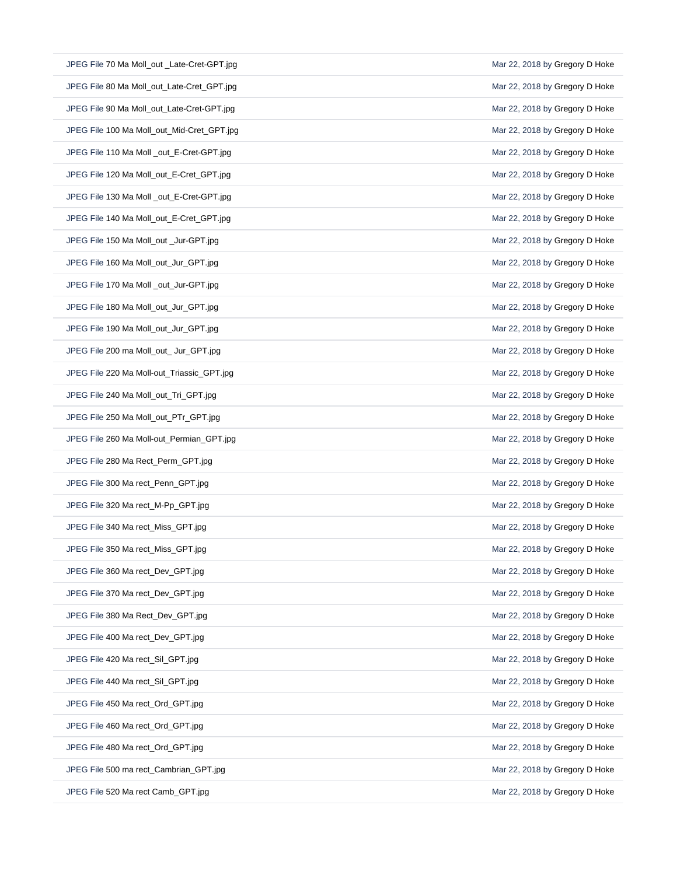| JPEG File 70 Ma Moll_out _Late-Cret-GPT.jpg | Mar 22, 2018 by Gregory D Hoke |
|---------------------------------------------|--------------------------------|
| JPEG File 80 Ma Moll_out_Late-Cret_GPT.jpg  | Mar 22, 2018 by Gregory D Hoke |
| JPEG File 90 Ma Moll_out_Late-Cret-GPT.jpg  | Mar 22, 2018 by Gregory D Hoke |
| JPEG File 100 Ma Moll_out_Mid-Cret_GPT.jpg  | Mar 22, 2018 by Gregory D Hoke |
| JPEG File 110 Ma Moll _out_E-Cret-GPT.jpg   | Mar 22, 2018 by Gregory D Hoke |
| JPEG File 120 Ma Moll_out_E-Cret_GPT.jpg    | Mar 22, 2018 by Gregory D Hoke |
| JPEG File 130 Ma Moll _out_E-Cret-GPT.jpg   | Mar 22, 2018 by Gregory D Hoke |
| JPEG File 140 Ma Moll_out_E-Cret_GPT.jpg    | Mar 22, 2018 by Gregory D Hoke |
| JPEG File 150 Ma Moll_out _Jur-GPT.jpg      | Mar 22, 2018 by Gregory D Hoke |
| JPEG File 160 Ma Moll_out_Jur_GPT.jpg       | Mar 22, 2018 by Gregory D Hoke |
| JPEG File 170 Ma Moll _out_Jur-GPT.jpg      | Mar 22, 2018 by Gregory D Hoke |
| JPEG File 180 Ma Moll_out_Jur_GPT.jpg       | Mar 22, 2018 by Gregory D Hoke |
| JPEG File 190 Ma Moll_out_Jur_GPT.jpg       | Mar 22, 2018 by Gregory D Hoke |
| JPEG File 200 ma Moll_out_ Jur_GPT.jpg      | Mar 22, 2018 by Gregory D Hoke |
| JPEG File 220 Ma Moll-out_Triassic_GPT.jpg  | Mar 22, 2018 by Gregory D Hoke |
| JPEG File 240 Ma Moll_out_Tri_GPT.jpg       | Mar 22, 2018 by Gregory D Hoke |
| JPEG File 250 Ma Moll_out_PTr_GPT.jpg       | Mar 22, 2018 by Gregory D Hoke |
|                                             |                                |
| JPEG File 260 Ma Moll-out_Permian_GPT.jpg   | Mar 22, 2018 by Gregory D Hoke |
| JPEG File 280 Ma Rect_Perm_GPT.jpg          | Mar 22, 2018 by Gregory D Hoke |
| JPEG File 300 Ma rect_Penn_GPT.jpg          | Mar 22, 2018 by Gregory D Hoke |
| JPEG File 320 Ma rect_M-Pp_GPT.jpg          | Mar 22, 2018 by Gregory D Hoke |
| JPEG File 340 Ma rect_Miss_GPT.jpg          | Mar 22, 2018 by Gregory D Hoke |
| JPEG File 350 Ma rect_Miss_GPT.jpg          | Mar 22, 2018 by Gregory D Hoke |
| JPEG File 360 Ma rect_Dev_GPT.jpg           | Mar 22, 2018 by Gregory D Hoke |
| JPEG File 370 Ma rect Dev GPT.jpg           | Mar 22, 2018 by Gregory D Hoke |
| JPEG File 380 Ma Rect_Dev_GPT.jpg           | Mar 22, 2018 by Gregory D Hoke |
| JPEG File 400 Ma rect_Dev_GPT.jpg           | Mar 22, 2018 by Gregory D Hoke |
| JPEG File 420 Ma rect Sil GPT.jpg           | Mar 22, 2018 by Gregory D Hoke |
| JPEG File 440 Ma rect Sil GPT.jpg           | Mar 22, 2018 by Gregory D Hoke |
| JPEG File 450 Ma rect_Ord_GPT.jpg           | Mar 22, 2018 by Gregory D Hoke |
| JPEG File 460 Ma rect_Ord_GPT.jpg           | Mar 22, 2018 by Gregory D Hoke |
| JPEG File 480 Ma rect_Ord_GPT.jpg           | Mar 22, 2018 by Gregory D Hoke |
| JPEG File 500 ma rect_Cambrian_GPT.jpg      | Mar 22, 2018 by Gregory D Hoke |